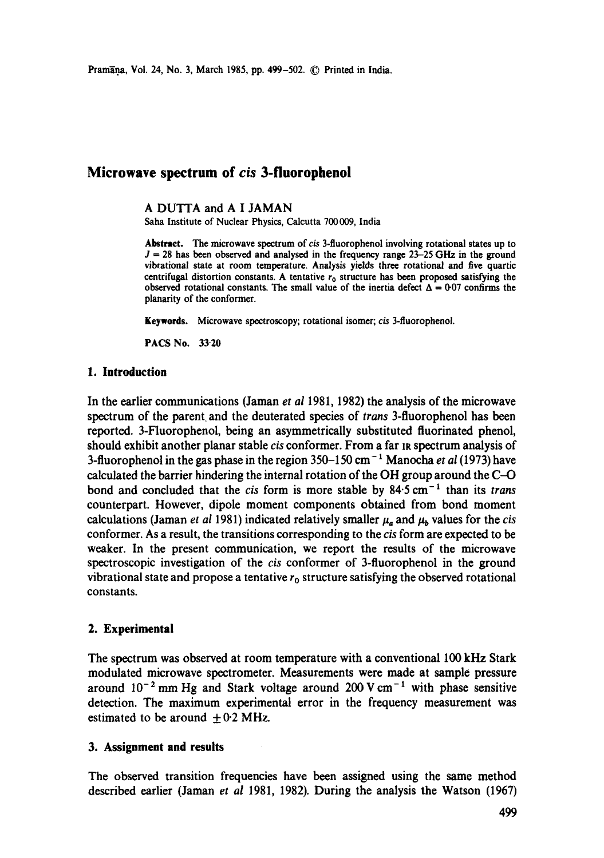# **Microwave spectrum of** *cis* **3-fluorophenoi**

#### A DUTTA and A I JAMAN

Saha Institute of Nuclear Physics, Calcutta 700009, India

Abstract. The microwave spectrum of cis 3-fluorophenol involving rotational states up to  $J = 28$  has been observed and analysed in the frequency range  $23-25$  GHz in the ground vibrational state at room temperature. Analysis yields three rotational and five quartic centrifugal distortion constants. A tentative  $r_0$  structure has been proposed satisfying the observed rotational constants. The small value of the inertia defect  $\Delta = 0.07$  confirms the planarity of the conformer.

**Keywords.** Microwave spectroscopy; rotational isomer; *cis* 3-fluorophenol.

PACS No. 33.20

#### **1. Introduction**

In the earlier communications (Jaman *et al* 1981, 1982) the analysis of the microwave spectrum of the parent and the deuterated species of *trans* 3-fluorophenol has been reported. 3-Fluorophenol, being an asymmetrically substituted fluorinated phenol, should exhibit another planar stable *cis* conformer. From a far Is spectrum analysis of 3-fluorophenol in the gas phase in the region 350-150 cm- 1 Manocha *et al* (1973) have calculated the barrier hindering the internal rotation of the OH group around the C-O bond and concluded that the *cis* form is more stable by 84.5 cm<sup>-1</sup> than its *trans* counterpart. However, dipole moment components obtained from bond moment calculations (Jaman *et al* 1981) indicated relatively smaller  $\mu_a$  and  $\mu_b$  values for the *cis* conformer. As a result, the transitions corresponding to the *cis* form are expected to be weaker. In the present communication, we report the results of the microwave spectroscopic investigation of the *cis* conformer of 3-fluoropbenol in the ground vibrational state and propose a tentative  $r_0$  structure satisfying the observed rotational constants.

### **2. Experimental**

The spectrum was observed at room temperature with a conventional 100 kHz Stark modulated microwave spectrometer. Measurements were made at sample pressure around  $10^{-2}$  mm Hg and Stark voltage around 200 V cm<sup>-1</sup> with phase sensitive detection. The maximum experimental error in the frequency measurement was estimated to be around  $\pm$  0.2 MHz.

#### **3. Assignment and results**

The observed transition frequencies have been assigned using the same method described earlier (Jaman *et al* 1981, 1982). During the analysis the Watson (1967)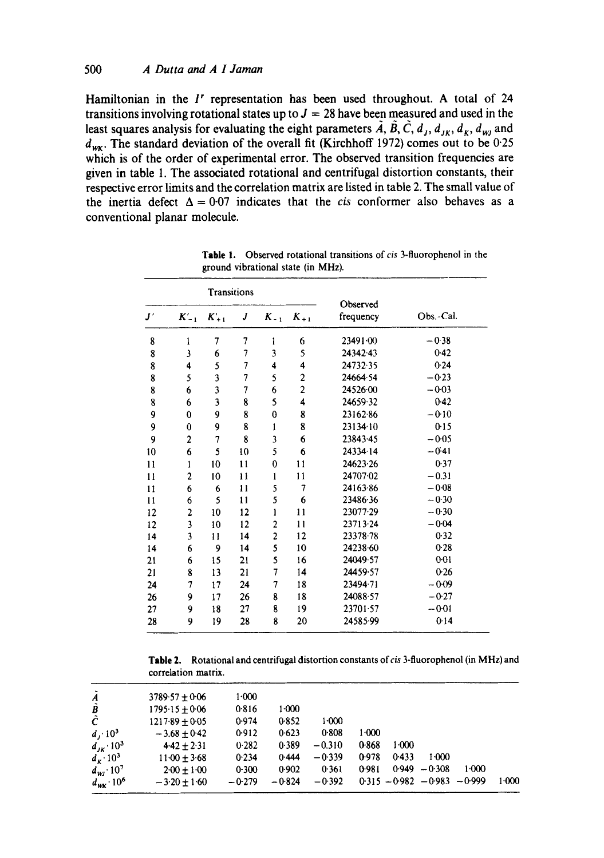#### 500 *A Dutta and A I Jaman*

**Hamiltonian in the I' representation has been used throughout. A total of 24**  transitions involving rotational states up to  $J = 28$  have been measured and used in the least squares analysis for evaluating the eight parameters  $\tilde{A}$ ,  $\tilde{B}$ ,  $\tilde{C}$ ,  $d_{I}$ ,  $d_{IK}$ ,  $d_{K}$ ,  $d_{WI}$  and  $d_{\text{wK}}$ . The standard deviation of the overall fit (Kirchhoff 1972) comes out to be 0.25 which is of the order of experimental error. The observed transition frequencies are **given in table 1. The associated rotational and centrifugal distortion constants, their respective error limits and the correlation matrix are listed in table 2. The small value of**  the inertia defect  $\Delta = 0.07$  indicates that the *cis* conformer also behaves as a **conventional planar molecule.** 

| <b>Transitions</b>  |             |                         |                |                         |                         |                       |           |
|---------------------|-------------|-------------------------|----------------|-------------------------|-------------------------|-----------------------|-----------|
| $\bm{J}^{\,\prime}$ | $K'_{-1}$   | $K'_{+1}$               | J              | $K_{-1}$                | $K_{+1}$                | Observed<br>frequency | Obs.-Cal. |
| 8                   | ı           | 7                       | 7              | 1                       | 6                       | 23491.00              | $-0.38$   |
| 8                   | 3           | 6                       | 7              | 3                       | 5                       | 24342.43              | 0.42      |
| 8                   | 4           | 5                       | 7              | 4                       | 4                       | 24732.35              | 0.24      |
| 8                   | 5           | $\overline{\mathbf{3}}$ | $\overline{7}$ | 5                       | $\mathbf 2$             | 24664.54              | $-0.23$   |
| 8                   | 6           | 3                       | 7              | 6                       | $\overline{\mathbf{c}}$ | 24526.00              | $-0.03$   |
| 8                   | 6           | $\overline{\mathbf{3}}$ | 8              | 5                       | 4                       | 24659-32              | $0-42$    |
| 9                   | $\bf{0}$    | 9                       | 8              | $\bf{0}$                | 8                       | 23162.86              | $-0.10$   |
| 9                   | 0           | 9                       | 8              | 1                       | 8                       | 23134·10              | 0.15      |
| 9                   | 2           | 7                       | 8              | $\overline{\mathbf{3}}$ | 6                       | 23843.45              | $-0.05$   |
| 10                  | 6           | 5                       | 10             | 5                       | 6                       | 24334-14              | $-0.41$   |
| 11                  | 1           | 10                      | 11             | 0                       | $\mathbf{11}$           | 24623.26              | 0.37      |
| 11                  | $\mathbf 2$ | 10                      | 11             | 1                       | 11                      | 24707-02              | $-0.31$   |
| 11                  | 6           | 6                       | 11             | 5                       | 7                       | 24163.86              | $-0.08$   |
| 11                  | 6           | 5                       | 11             | 5                       | 6                       | 23486.36              | $-0.30$   |
| 12                  | 2           | 10                      | 12             | ı                       | 11                      | 23077-29              | $-0.30$   |
| 12                  | 3           | 10                      | 12             | 2                       | 11                      | 23713.24              | $-0.04$   |
| 14                  | 3           | 11                      | 14             | $\overline{\mathbf{c}}$ | 12                      | 23378.78              | 0.32      |
| 14                  | 6           | 9                       | 14             | 5                       | 10                      | 24238.60              | 0.28      |
| 21                  | 6           | 15                      | 21             | 5                       | 16                      | 24049.57              | $0 - 01$  |
| 21                  | 8           | 13                      | 21             | 7                       | 14                      | 24459.57              | 0.26      |
| 24                  | 7           | 17                      | 24             | 7                       | 18                      | 23494.71              | $-0.09$   |
| 26                  | 9           | 17                      | 26             | 8                       | 18                      | 24088.57              | $-0.27$   |
| 27                  | 9           | 18                      | 27             | 8                       | 19                      | 23701.57              | $-0.01$   |
| 28                  | 9           | 19                      | 28             | 8                       | 20                      | 24585-99              | 0.14      |

**Table !. Observed rotational transitions** of *cis* 3-fluorophenol **in the ground vibrational state (in** MHz).

**Table l. Rotational and centrifugal distortion constants of** *cis* **3-fluorophenol (in MHz) and correlation matrix.** 

| $\tilde{A}$                                     | $3789.57 \pm 0.06$ | 1.000    |          |           |           |         |                                 |       |       |
|-------------------------------------------------|--------------------|----------|----------|-----------|-----------|---------|---------------------------------|-------|-------|
| B                                               | $1795.15 \pm 0.06$ | 0.816    | $1-000$  |           |           |         |                                 |       |       |
| Ĉ                                               | $1217.89 + 0.05$   | 0.974    | 0.852    | $1 - 000$ |           |         |                                 |       |       |
| $d_1 \cdot 10^3$                                | $-3.68 \pm 0.42$   | 0.912    | 0.623    | 0.808     | $1 - 000$ |         |                                 |       |       |
|                                                 | $4.42 + 2.31$      | 0.282    | 0.389    | $-0.310$  | 0.868     | $1-000$ |                                 |       |       |
| $d_{\kappa} \cdot 10^3$                         | $11.00 \pm 3.68$   | 0.234    | 0.444    | $-0.339$  | 0.978     | 0.433   | 1000                            |       |       |
|                                                 | $200 + 100$        | 0.300    | 0.902    | 0.361     | 0.981     |         | $0.949 - 0.308$                 | 1:000 |       |
| $d_{\text{wK}}$ 10 <sup>6</sup>                 | $-3.20 + 1.60$     | $-0.279$ | $-0.824$ | $-0.392$  |           |         | $0.315 - 0.982 - 0.983 - 0.999$ |       | 1.000 |
| $d_{JK} \cdot 10^3$<br>$d_{Wl}$ 10 <sup>7</sup> |                    |          |          |           |           |         |                                 |       |       |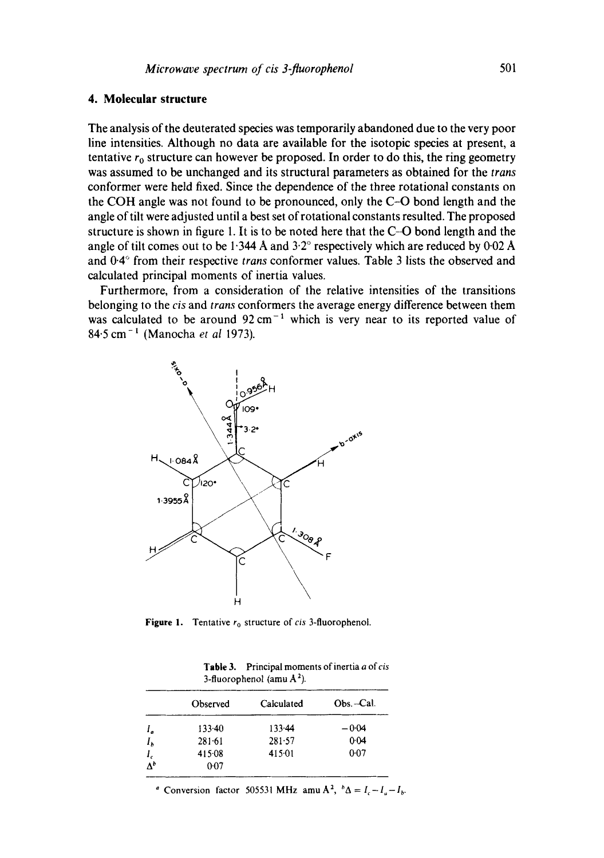## **4. Molecular structure**

The analysis of the deuterated species was temporarily abandoned due to the very poor line intensities. Although no data are available for the isotopic species at present, a tentative  $r_0$  structure can however be proposed. In order to do this, the ring geometry was assumed to be unchanged and its structural parameters as obtained for the *trans*  conformer were held fixed. Since the dependence of the three rotational constants on the COH angle was not found to be pronounced, only the C-O bond length and the angle of tilt were adjusted until a best set of rotational constants resulted. The proposed structure is shown in figure 1. It is to be noted here that the C-O bond length and the angle of tilt comes out to be  $1.344$  Å and  $3.2^{\circ}$  respectively which are reduced by 0.02 Å and 0.4° from their respective *trans* conformer values. Table 3 lists the observed and calculated principal moments of inertia values.

Furthermore, from a consideration of the relative intensities of the transitions belonging to the *cis* and *trans* conformers the average energy difference between them was calculated to be around  $92 \text{ cm}^{-1}$  which is very near to its reported value of 84.5 cm- ~ (Manocha *et al* 1973).



**Figure 1.** Tentative  $r_0$  structure of *cis* 3-fluorophenol.

| Table 3. Principal moments of inertia a of cis |
|------------------------------------------------|
| 3-fluorophenol (amu $A^2$ ).                   |

|         | Observed   | Calculated | Obs.-Cal. |  |  |
|---------|------------|------------|-----------|--|--|
| I.      | $133 - 40$ | $133 - 44$ | $-0.04$   |  |  |
| $I_b$   | $281 - 61$ | 281.57     | 0.04      |  |  |
| $I_{c}$ | 415.08     | 415.01     | 0.07      |  |  |
|         | 0.07       |            |           |  |  |

<sup>*a*</sup> Conversion factor 505531 MHz amu A<sup>2</sup>,  ${}^b\Delta = I_c - I_a - I_b$ .